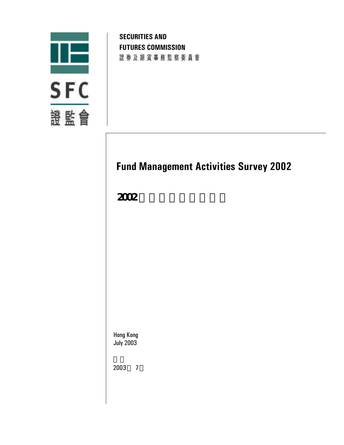

**SECURITIES AND FUTURES COMMISSION** 證券及期貨事務監察委員會

# **Fund Management Activities Survey 2002**

2002

 Hong Kong July 2003

2003 7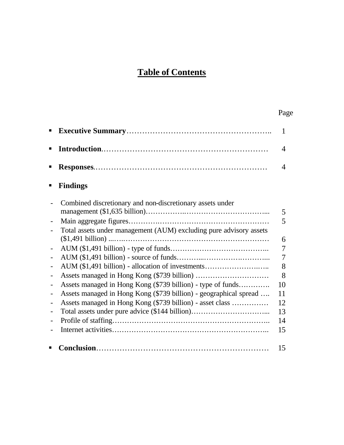# **Table of Contents**

| п |                                                                    | $\mathbf{1}$             |
|---|--------------------------------------------------------------------|--------------------------|
|   |                                                                    | $\overline{4}$           |
| п |                                                                    | $\overline{\mathcal{A}}$ |
| п | <b>Findings</b>                                                    |                          |
|   | Combined discretionary and non-discretionary assets under          | 5                        |
|   |                                                                    | 5                        |
|   | Total assets under management (AUM) excluding pure advisory assets | 6                        |
|   |                                                                    | $\overline{7}$           |
|   |                                                                    | $\overline{7}$           |
|   | AUM (\$1,491 billion) - allocation of investments                  | 8                        |
|   |                                                                    | 8                        |
|   | Assets managed in Hong Kong (\$739 billion) - type of funds        | 10                       |
|   | Assets managed in Hong Kong (\$739 billion) - geographical spread  | 11                       |
|   | Assets managed in Hong Kong (\$739 billion) - asset class          | 12                       |
|   |                                                                    | 13                       |
|   |                                                                    | 14                       |
|   |                                                                    | 15                       |
|   |                                                                    | 15                       |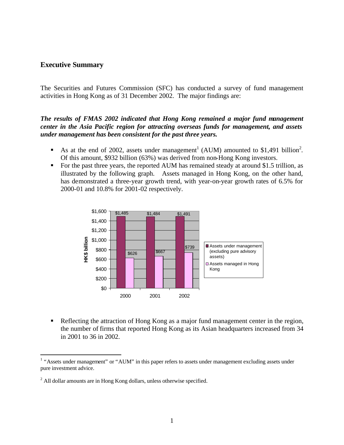#### **Executive Summary**

The Securities and Futures Commission (SFC) has conducted a survey of fund management activities in Hong Kong as of 31 December 2002. The major findings are:

#### *The results of FMAS 2002 indicated that Hong Kong remained a major fund management center in the Asia Pacific region for attracting overseas funds for management, and assets under management has been consistent for the past three years.*

- As at the end of 2002, assets under management<sup>1</sup> (AUM) amounted to \$1,491 billion<sup>2</sup>. Of this amount, \$932 billion (63%) was derived from non-Hong Kong investors.
- For the past three years, the reported AUM has remained steady at around \$1.5 trillion, as illustrated by the following graph. Assets managed in Hong Kong, on the other hand, has demonstrated a three-year growth trend, with year-on-year growth rates of 6.5% for 2000-01 and 10.8% for 2001-02 respectively.



Reflecting the attraction of Hong Kong as a major fund management center in the region, the number of firms that reported Hong Kong as its Asian headquarters increased from 34 in 2001 to 36 in 2002.

<sup>&</sup>lt;sup>1</sup> "Assets under management" or "AUM" in this paper refers to assets under management excluding assets under pure investment advice.

 $2^2$  All dollar amounts are in Hong Kong dollars, unless otherwise specified.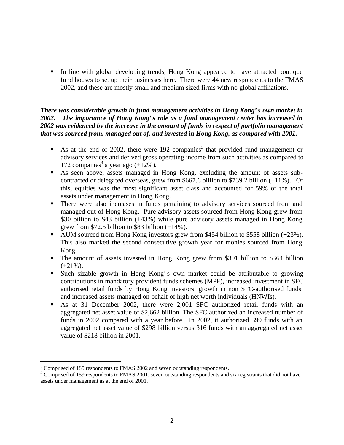In line with global developing trends, Hong Kong appeared to have attracted boutique fund houses to set up their businesses here. There were 44 new respondents to the FMAS 2002, and these are mostly small and medium sized firms with no global affiliations.

# *There was considerable growth in fund management activities in Hong Kong's own market in 2002. The importance of Hong Kong's role as a fund management center has increased in 2002 was evidenced by the increase in the amount of funds in respect of portfolio management that was sourced from, managed out of, and invested in Hong Kong, as compared with 2001.*

- As at the end of 2002, there were 192 companies<sup>3</sup> that provided fund management or advisory services and derived gross operating income from such activities as compared to 172 companies<sup>4</sup> a year ago  $(+12%)$ .
- ß As seen above, assets managed in Hong Kong, excluding the amount of assets subcontracted or delegated overseas, grew from  $$667.6$  billion to  $$739.2$  billion  $(+11\%)$ . Of this, equities was the most significant asset class and accounted for 59% of the total assets under management in Hong Kong.
- There were also increases in funds pertaining to advisory services sourced from and managed out of Hong Kong. Pure advisory assets sourced from Hong Kong grew from \$30 billion to \$43 billion (+43%) while pure advisory assets managed in Hong Kong grew from \$72.5 billion to \$83 billion  $(+14\%)$ .
- AUM sourced from Hong Kong investors grew from \$454 billion to \$558 billion (+23%). This also marked the second consecutive growth year for monies sourced from Hong Kong.
- The amount of assets invested in Hong Kong grew from \$301 billion to \$364 billion  $(+21\%)$ .
- ß Such sizable growth in Hong Kong's own market could be attributable to growing contributions in mandatory provident funds schemes (MPF), increased investment in SFC authorised retail funds by Hong Kong investors, growth in non SFC-authorised funds, and increased assets managed on behalf of high net worth individuals (HNWIs).
- ß As at 31 December 2002, there were 2,001 SFC authorized retail funds with an aggregated net asset value of \$2,662 billion. The SFC authorized an increased number of funds in 2002 compared with a year before. In 2002, it authorized 399 funds with an aggregated net asset value of \$298 billion versus 316 funds with an aggregated net asset value of \$218 billion in 2001.

1

 $3^3$  Comprised of 185 respondents to FMAS 2002 and seven outstanding respondents.

<sup>&</sup>lt;sup>4</sup> Comprised of 159 respondents to FMAS 2001, seven outstanding respondents and six registrants that did not have assets under management as at the end of 2001.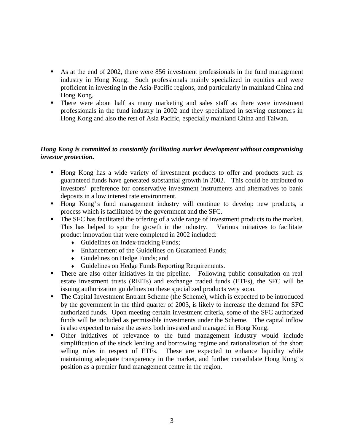- As at the end of 2002, there were 856 investment professionals in the fund management industry in Hong Kong. Such professionals mainly specialized in equities and were proficient in investing in the Asia-Pacific regions, and particularly in mainland China and Hong Kong.
- There were about half as many marketing and sales staff as there were investment professionals in the fund industry in 2002 and they specialized in serving customers in Hong Kong and also the rest of Asia Pacific, especially mainland China and Taiwan.

# *Hong Kong is committed to constantly facilitating market development without compromising investor protection.*

- Hong Kong has a wide variety of investment products to offer and products such as guaranteed funds have generated substantial growth in 2002. This could be attributed to investors' preference for conservative investment instruments and alternatives to bank deposits in a low interest rate environment.
- ß Hong Kong's fund management industry will continue to develop new products, a process which is facilitated by the government and the SFC.
- The SFC has facilitated the offering of a wide range of investment products to the market. This has helped to spur the growth in the industry. Various initiatives to facilitate product innovation that were completed in 2002 included:
	- Guidelines on Index-tracking Funds;
	- ♦ Enhancement of the Guidelines on Guaranteed Funds;
	- ♦ Guidelines on Hedge Funds; and
	- ♦ Guidelines on Hedge Funds Reporting Requirements.
- There are also other initiatives in the pipeline. Following public consultation on real estate investment trusts (REITs) and exchange traded funds (ETFs), the SFC will be issuing authorization guidelines on these specialized products very soon.
- The Capital Investment Entrant Scheme (the Scheme), which is expected to be introduced by the government in the third quarter of 2003, is likely to increase the demand for SFC authorized funds. Upon meeting certain investment criteria, some of the SFC authorized funds will be included as permissible investments under the Scheme. The capital inflow is also expected to raise the assets both invested and managed in Hong Kong.
- ß Other initiatives of relevance to the fund management industry would include simplification of the stock lending and borrowing regime and rationalization of the short selling rules in respect of ETFs. These are expected to enhance liquidity while maintaining adequate transparency in the market, and further consolidate Hong Kong's position as a premier fund management centre in the region.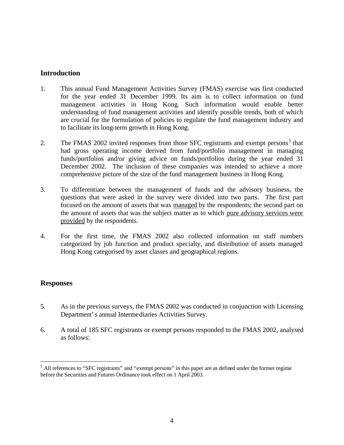# **Introduction**

- 1. This annual Fund Management Activities Survey (FMAS) exercise was first conducted for the year ended 31 December 1999. Its aim is to collect information on fund management activities in Hong Kong. Such information would enable better understanding of fund management activities and identify possible trends, both of which are crucial for the formulation of policies to regulate the fund management industry and to facilitate its long-term growth in Hong Kong.
- 2. The FMAS 2002 invited responses from those SFC registrants and exempt persons<sup>5</sup> that had gross operating income derived from fund/portfolio management in managing funds/portfolios and/or giving advice on funds/portfolios during the year ended 31 December 2002. The inclusion of these companies was intended to achieve a more comprehensive picture of the size of the fund management business in Hong Kong.
- 3. To differentiate between the management of funds and the advisory business, the questions that were asked in the survey were divided into two parts. The first part focused on the amount of assets that was managed by the respondents; the second part on the amount of assets that was the subject matter as to which pure advisory services were provided by the respondents.
- 4. For the first time, the FMAS 2002 also collected information on staff numbers categorized by job function and product specialty, and distribution of assets managed Hong Kong categorised by asset classes and geographical regions.

# **Responses**

 $\overline{a}$ 

- 5. As in the previous surveys, the FMAS 2002 was conducted in conjunction with Licensing Department's annual Intermediaries Activities Survey.
- 6. A total of 185 SFC registrants or exempt persons responded to the FMAS 2002, analysed as follows:

 $<sup>5</sup>$  All references to "SFC registrants" and "exempt persons" in this paper are as defined under the former regime</sup> before the Securities and Futures Ordinance took effect on 1 April 2003.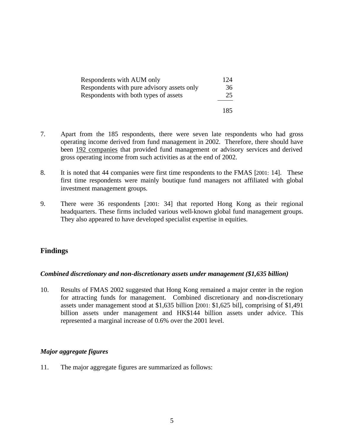| Respondents with AUM only<br>Respondents with pure advisory assets only | 124<br>36 |
|-------------------------------------------------------------------------|-----------|
| Respondents with both types of assets                                   | 25        |
|                                                                         | 185       |

- 7. Apart from the 185 respondents, there were seven late respondents who had gross operating income derived from fund management in 2002. Therefore, there should have been 192 companies that provided fund management or advisory services and derived gross operating income from such activities as at the end of 2002.
- 8. It is noted that 44 companies were first time respondents to the FMAS [2001: 14]. These first time respondents were mainly boutique fund managers not affiliated with global investment management groups.
- 9. There were 36 respondents [2001: 34] that reported Hong Kong as their regional headquarters. These firms included various well-known global fund management groups. They also appeared to have developed specialist expertise in equities.

# **Findings**

#### *Combined discretionary and non-discretionary assets under management (\$1,635 billion)*

10. Results of FMAS 2002 suggested that Hong Kong remained a major center in the region for attracting funds for management. Combined discretionary and non-discretionary assets under management stood at \$1,635 billion [2001: \$1,625 bil], comprising of \$1,491 billion assets under management and HK\$144 billion assets under advice. This represented a marginal increase of 0.6% over the 2001 level.

#### *Major aggregate figures*

11. The major aggregate figures are summarized as follows: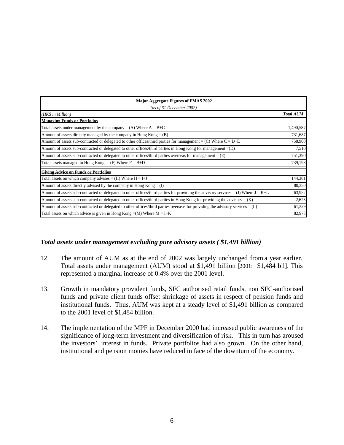| <b>Major Aggregate Figures of FMAS 2002</b>                                                                                             |                  |  |  |  |  |  |  |
|-----------------------------------------------------------------------------------------------------------------------------------------|------------------|--|--|--|--|--|--|
| (as of 31 December 2002)                                                                                                                |                  |  |  |  |  |  |  |
| (HK\$ in Million)                                                                                                                       | <b>Total AUM</b> |  |  |  |  |  |  |
| <b>Managing Funds or Portfolios</b>                                                                                                     |                  |  |  |  |  |  |  |
| Total assets under management by the company = (A) Where $A = B+C$                                                                      | 1,490,587        |  |  |  |  |  |  |
| Amount of assets directly managed by the company in Hong $Kong = (B)$                                                                   | 731,687          |  |  |  |  |  |  |
| Amount of assets sub-contracted or delegated to other offices/third parties for management = (C) Where $C = D+E$                        | 758,900          |  |  |  |  |  |  |
| Amount of assets sub-contracted or delegated to other offices/third parties in Hong Kong for management = (D)                           | 7,510            |  |  |  |  |  |  |
| Amount of assets sub-contracted or delegated to other offices/third parties overseas for management $= (E)$                             | 751,390          |  |  |  |  |  |  |
| Total assets managed in Hong Kong = $(F)$ Where $F = B + D$                                                                             | 739,198          |  |  |  |  |  |  |
| <b>Giving Advice on Funds or Portfolios</b>                                                                                             |                  |  |  |  |  |  |  |
| Total assets on which company advises = $(H)$ Where $H = I+J$                                                                           | 144,301          |  |  |  |  |  |  |
| Amount of assets directly advised by the company in Hong $Kong = (I)$                                                                   | 80,350           |  |  |  |  |  |  |
| Amount of assets sub-contracted or delegated to other offices/third parties for providing the advisory services = (J) Where $J = K + L$ | 63,952           |  |  |  |  |  |  |
| Amount of assets sub-contracted or delegated to other offices/third parties in Hong Kong for providing the advisory = $(K)$             | 2,623            |  |  |  |  |  |  |
| Amount of assets sub-contracted or delegated to other offices/third parties overseas for providing the advisory services = $(L)$        | 61,329           |  |  |  |  |  |  |
| Total assets on which advice is given in Hong Kong = $(M)$ Where M = I+K                                                                | 82,973           |  |  |  |  |  |  |

#### *Total assets under management excluding pure advisory assets ( \$1,491 billion)*

- 12. The amount of AUM as at the end of 2002 was largely unchanged from a year earlier. Total assets under management (AUM) stood at \$1,491 billion [2001: \$1,484 bil]. This represented a marginal increase of 0.4% over the 2001 level.
- 13. Growth in mandatory provident funds, SFC authorised retail funds, non SFC-authorised funds and private client funds offset shrinkage of assets in respect of pension funds and institutional funds. Thus, AUM was kept at a steady level of \$1,491 billion as compared to the 2001 level of \$1,484 billion.
- 14. The implementation of the MPF in December 2000 had increased public awareness of the significance of long-term investment and diversification of risk. This in turn has aroused the investors' interest in funds. Private portfolios had also grown. On the other hand, institutional and pension monies have reduced in face of the downturn of the economy.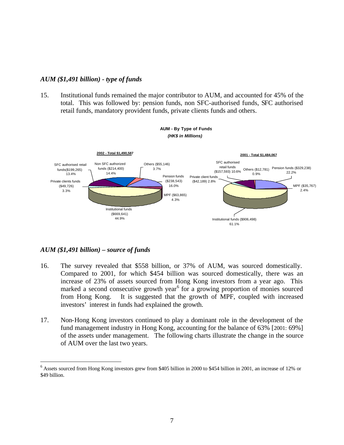#### *AUM (\$1,491 billion) - type of funds*

15. Institutional funds remained the major contributor to AUM, and accounted for 45% of the total. This was followed by: pension funds, non SFC-authorised funds, SFC authorised retail funds, mandatory provident funds, private clients funds and others.



#### *AUM (\$1,491 billion) – source of funds*

1

- 16. The survey revealed that \$558 billion, or 37% of AUM, was sourced domestically. Compared to 2001, for which \$454 billion was sourced domestically, there was an increase of 23% of assets sourced from Hong Kong investors from a year ago. This marked a second consecutive growth year<sup>6</sup> for a growing proportion of monies sourced from Hong Kong. It is suggested that the growth of MPF, coupled with increased investors' interest in funds had explained the growth.
- 17. Non-Hong Kong investors continued to play a dominant role in the development of the fund management industry in Hong Kong, accounting for the balance of 63% [2001: 69%] of the assets under management. The following charts illustrate the change in the source of AUM over the last two years.

<sup>&</sup>lt;sup>6</sup> Assets sourced from Hong Kong investors grew from \$405 billion in 2000 to \$454 billion in 2001, an increase of 12% or \$49 billion.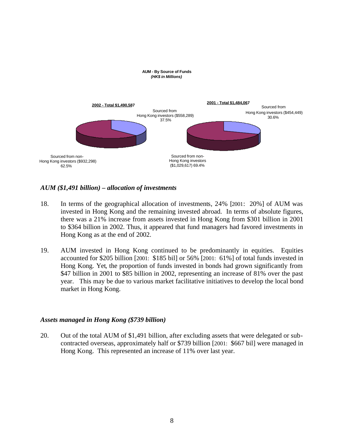

#### *AUM (\$1,491 billion) – allocation of investments*

- 18. In terms of the geographical allocation of investments, 24% [2001: 20%] of AUM was invested in Hong Kong and the remaining invested abroad. In terms of absolute figures, there was a 21% increase from assets invested in Hong Kong from \$301 billion in 2001 to \$364 billion in 2002. Thus, it appeared that fund managers had favored investments in Hong Kong as at the end of 2002.
- 19. AUM invested in Hong Kong continued to be predominantly in equities. Equities accounted for \$205 billion [2001: \$185 bil] or 56% [2001: 61%] of total funds invested in Hong Kong. Yet, the proportion of funds invested in bonds had grown significantly from \$47 billion in 2001 to \$85 billion in 2002, representing an increase of 81% over the past year. This may be due to various market facilitative initiatives to develop the local bond market in Hong Kong.

#### *Assets managed in Hong Kong (\$739 billion)*

20. Out of the total AUM of \$1,491 billion, after excluding assets that were delegated or subcontracted overseas, approximately half or \$739 billion [2001: \$667 bil] were managed in Hong Kong. This represented an increase of 11% over last year.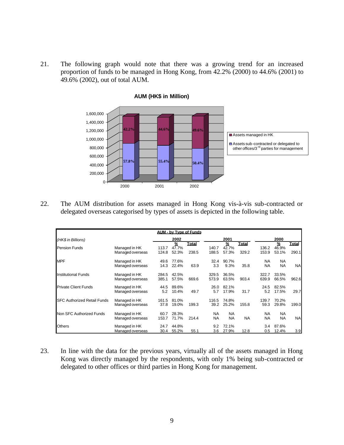21. The following graph would note that there was a growing trend for an increased proportion of funds to be managed in Hong Kong, from 42.2% (2000) to 44.6% (2001) to 49.6% (2002), out of total AUM.



**AUM (HK\$ in Million)**

22. The AUM distribution for assets managed in Hong Kong vis-à-vis sub-contracted or delegated overseas categorised by types of assets is depicted in the following table.

| <b>AUM - by Type of Funds</b>      |                                   |                |                |       |                        |                 |       |                        |                        |           |  |
|------------------------------------|-----------------------------------|----------------|----------------|-------|------------------------|-----------------|-------|------------------------|------------------------|-----------|--|
| (HK\$ in Billions)                 |                                   | 2002           |                |       | 2001                   |                 |       | 2000                   |                        |           |  |
|                                    |                                   |                | %              | Total |                        | %               | Total |                        | %                      | Total     |  |
| <b>Pension Funds</b>               | Managed in HK<br>Managed overseas | 113.7<br>124.8 | 47.7%<br>52.3% | 238.5 | 140.7<br>188.5         | 42.7%<br>57.3%  | 329.2 | 136.2<br>153.9         | 46.9%<br>53.1%         | 290.1     |  |
| <b>MPF</b>                         | Managed in HK<br>Managed overseas | 49.6<br>14.3   | 77.6%<br>22.4% | 63.9  | 32.4<br>3.3            | 90.7%<br>9.3%   | 35.8  | <b>NA</b><br><b>NA</b> | <b>NA</b><br><b>NA</b> | <b>NA</b> |  |
| <b>Institutional Funds</b>         | Managed in HK<br>Managed overseas | 284.5<br>385.1 | 42.5%<br>57.5% | 669.6 | 329.5<br>573.9         | 36.5%<br>63.5%  | 903.4 | 322.7<br>639.9         | 33.5%<br>66.5%         | 962.6     |  |
| <b>Private Client Funds</b>        | Managed in HK<br>Managed overseas | 44.5<br>5.2    | 89.6%<br>10.4% | 49.7  | 26.0<br>5.7            | 82.1%<br>17.9%  | 31.7  | 24.5<br>5.2            | 82.5%<br>17.5%         | 29.7      |  |
| <b>SFC Authorized Retail Funds</b> | Managed in HK<br>Managed overseas | 161.5<br>37.8  | 81.0%<br>19.0% | 199.3 | 116.5<br>39.2          | 74.8%<br>25.2%  | 155.8 | 139.7<br>59.3          | 70.2%<br>29.8%         | 199.0     |  |
| Non SFC Authorized Funds           | Managed in HK<br>Managed overseas | 60.7<br>153.7  | 28.3%<br>71.7% | 214.4 | <b>NA</b><br><b>NA</b> | NA<br><b>NA</b> | NA    | <b>NA</b><br><b>NA</b> | <b>NA</b><br><b>NA</b> | <b>NA</b> |  |
| <b>Others</b>                      | Managed in HK<br>Managed overseas | 24.7<br>30.4   | 44.8%<br>55.2% | 55.1  | 9.2<br>3.6             | 72.1%<br>27.9%  | 12.8  | 3.4<br>0.5             | 87.6%<br>12.4%         | 3.9       |  |

23. In line with the data for the previous years, virtually all of the assets managed in Hong Kong was directly managed by the respondents, with only 1% being sub-contracted or delegated to other offices or third parties in Hong Kong for management.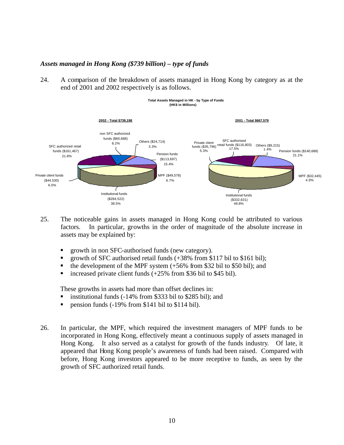#### *Assets managed in Hong Kong (\$739 billion) – type of funds*

24. A comparison of the breakdown of assets managed in Hong Kong by category as at the end of 2001 and 2002 respectively is as follows.



- 25. The noticeable gains in assets managed in Hong Kong could be attributed to various factors. In particular, growths in the order of magnitude of the absolute increase in assets may be explained by:
	- ß growth in non SFC-authorised funds (new category).
	- **The growth of SFC authorised retail funds (+38% from \$117 bil to \$161 bil);**
	- $\bullet$  the development of the MPF system (+56% from \$32 bil to \$50 bil); and
	- increased private client funds  $(+25\%$  from \$36 bil to \$45 bil).

These growths in assets had more than offset declines in:

- ß institutional funds (-14% from \$333 bil to \$285 bil); and
- pension funds  $(-19\%$  from \$141 bil to \$114 bil).
- 26. In particular, the MPF, which required the investment managers of MPF funds to be incorporated in Hong Kong, effectively meant a continuous supply of assets managed in Hong Kong. It also served as a catalyst for growth of the funds industry. Of late, it appeared that Hong Kong people's awareness of funds had been raised. Compared with before, Hong Kong investors appeared to be more receptive to funds, as seen by the growth of SFC authorized retail funds.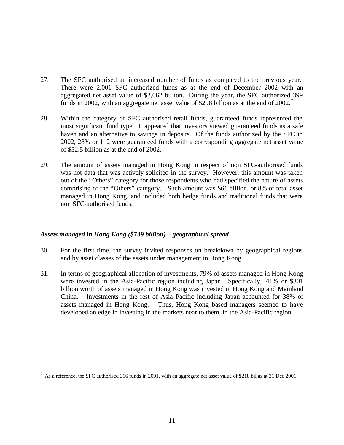- 27. The SFC authorised an increased number of funds as compared to the previous year. There were 2,001 SFC authorized funds as at the end of December 2002 with an aggregated net asset value of \$2,662 billion. During the year, the SFC authorized 399 funds in 2002, with an aggregate net asset value of \$298 billion as at the end of 2002.<sup>7</sup>
- 28. Within the category of SFC authorised retail funds, guaranteed funds represented the most significant fund type. It appeared that investors viewed guaranteed funds as a safe haven and an alternative to savings in deposits. Of the funds authorized by the SFC in 2002, 28% or 112 were guaranteed funds with a corresponding aggregate net asset value of \$52.5 billion as at the end of 2002.
- 29. The amount of assets managed in Hong Kong in respect of non SFC-authorised funds was not data that was actively solicited in the survey. However, this amount was taken out of the "Others" category for those respondents who had specified the nature of assets comprising of the "Others" category. Such amount was \$61 billion, or 8% of total asset managed in Hong Kong, and included both hedge funds and traditional funds that were non SFC-authorised funds.

#### *Assets managed in Hong Kong (\$739 billion) – geographical spread*

 $\overline{a}$ 

- 30. For the first time, the survey invited responses on breakdown by geographical regions and by asset classes of the assets under management in Hong Kong.
- 31. In terms of geographical allocation of investments, 79% of assets managed in Hong Kong were invested in the Asia-Pacific region including Japan. Specifically, 41% or \$301 billion worth of assets managed in Hong Kong was invested in Hong Kong and Mainland China. Investments in the rest of Asia Pacific including Japan accounted for 38% of assets managed in Hong Kong. Thus, Hong Kong based managers seemed to have developed an edge in investing in the markets near to them, in the Asia-Pacific region.

 $^7$  As a reference, the SFC authorised 316 funds in 2001, with an aggregate net asset value of \$218 bil as at 31 Dec 2001.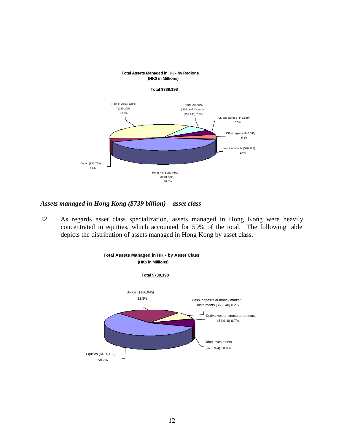

#### *Assets managed in Hong Kong (\$739 billion) – asset class*

32. As regards asset class specialization, assets managed in Hong Kong were heavily concentrated in equities, which accounted for 59% of the total. The following table depicts the distribution of assets managed in Hong Kong by asset class.

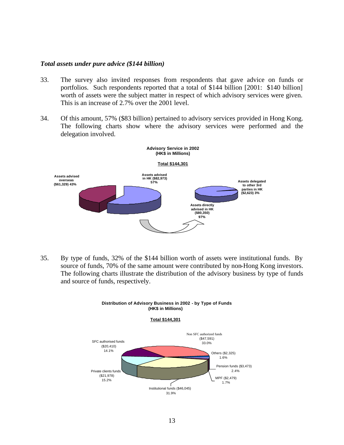#### *Total assets under pure advice (\$144 billion)*

- 33. The survey also invited responses from respondents that gave advice on funds or portfolios. Such respondents reported that a total of \$144 billion [2001: \$140 billion] worth of assets were the subject matter in respect of which advisory services were given. This is an increase of 2.7% over the 2001 level.
- 34. Of this amount, 57% (\$83 billion) pertained to advisory services provided in Hong Kong. The following charts show where the advisory services were performed and the delegation involved.



35. By type of funds, 32% of the \$144 billion worth of assets were institutional funds. By source of funds, 70% of the same amount were contributed by non-Hong Kong investors. The following charts illustrate the distribution of the advisory business by type of funds and source of funds, respectively.



#### **Distribution of Advisory Business in 2002 - by Type of Funds (HK\$ in Millions)**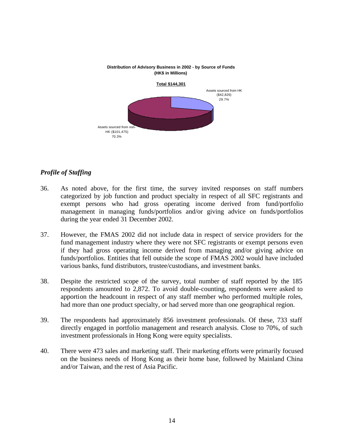

# *Profile of Staffing*

- 36. As noted above, for the first time, the survey invited responses on staff numbers categorized by job function and product specialty in respect of all SFC registrants and exempt persons who had gross operating income derived from fund/portfolio management in managing funds/portfolios and/or giving advice on funds/portfolios during the year ended 31 December 2002.
- 37. However, the FMAS 2002 did not include data in respect of service providers for the fund management industry where they were not SFC registrants or exempt persons even if they had gross operating income derived from managing and/or giving advice on funds/portfolios. Entities that fell outside the scope of FMAS 2002 would have included various banks, fund distributors, trustee/custodians, and investment banks.
- 38. Despite the restricted scope of the survey, total number of staff reported by the 185 respondents amounted to 2,872. To avoid double-counting, respondents were asked to apportion the headcount in respect of any staff member who performed multiple roles, had more than one product specialty, or had served more than one geographical region.
- 39. The respondents had approximately 856 investment professionals. Of these, 733 staff directly engaged in portfolio management and research analysis. Close to 70%, of such investment professionals in Hong Kong were equity specialists.
- 40. There were 473 sales and marketing staff. Their marketing efforts were primarily focused on the business needs of Hong Kong as their home base, followed by Mainland China and/or Taiwan, and the rest of Asia Pacific.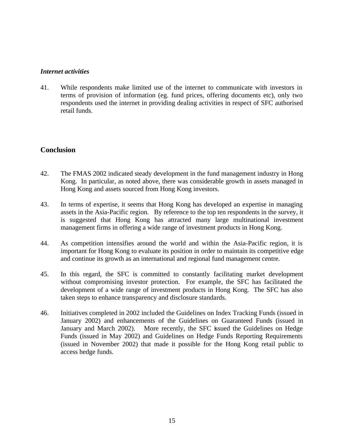#### *Internet activities*

41. While respondents make limited use of the internet to communicate with investors in terms of provision of information (eg. fund prices, offering documents etc), only two respondents used the internet in providing dealing activities in respect of SFC authorised retail funds.

# **Conclusion**

- 42. The FMAS 2002 indicated steady development in the fund management industry in Hong Kong. In particular, as noted above, there was considerable growth in assets managed in Hong Kong and assets sourced from Hong Kong investors.
- 43. In terms of expertise, it seems that Hong Kong has developed an expertise in managing assets in the Asia-Pacific region. By reference to the top ten respondents in the survey, it is suggested that Hong Kong has attracted many large multinational investment management firms in offering a wide range of investment products in Hong Kong.
- 44. As competition intensifies around the world and within the Asia-Pacific region, it is important for Hong Kong to evaluate its position in order to maintain its competitive edge and continue its growth as an international and regional fund management centre.
- 45. In this regard, the SFC is committed to constantly facilitating market development without compromising investor protection. For example, the SFC has facilitated the development of a wide range of investment products in Hong Kong. The SFC has also taken steps to enhance transparency and disclosure standards.
- 46. Initiatives completed in 2002 included the Guidelines on Index Tracking Funds (issued in January 2002) and enhancements of the Guidelines on Guaranteed Funds (issued in January and March 2002). More recently, the SFC issued the Guidelines on Hedge Funds (issued in May 2002) and Guidelines on Hedge Funds Reporting Requirements (issued in November 2002) that made it possible for the Hong Kong retail public to access hedge funds.